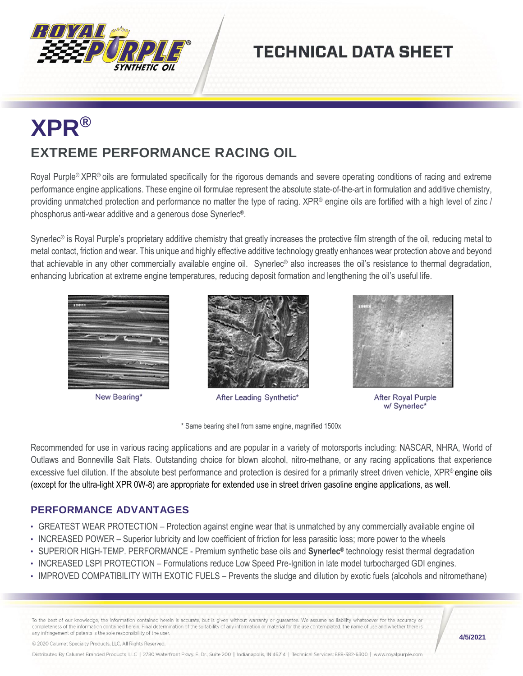

## **TECHNICAL DATA SHEET**

## **XPR® EXTREME PERFORMANCE RACING OIL**

Royal Purple<sup>®</sup> XPR<sup>®</sup> oils are formulated specifically for the rigorous demands and severe operating conditions of racing and extreme performance engine applications. These engine oil formulae represent the absolute state-of-the-art in formulation and additive chemistry, providing unmatched protection and performance no matter the type of racing. XPR® engine oils are fortified with a high level of zinc / phosphorus anti-wear additive and a generous dose Synerlec®.

Synerlec<sup>®</sup> is Royal Purple's proprietary additive chemistry that greatly increases the protective film strength of the oil, reducing metal to metal contact, friction and wear. This unique and highly effective additive technology greatly enhances wear protection above and beyond that achievable in any other commercially available engine oil. Synerlec® also increases the oil's resistance to thermal degradation, enhancing lubrication at extreme engine temperatures, reducing deposit formation and lengthening the oil's useful life.



New Bearing\*



After Leading Synthetic\*



**After Royal Purple** w/ Synerlec\*

\* Same bearing shell from same engine, magnified 1500x

Recommended for use in various racing applications and are popular in a variety of motorsports including: NASCAR, NHRA, World of Outlaws and Bonneville Salt Flats. Outstanding choice for blown alcohol, nitro-methane, or any racing applications that experience excessive fuel dilution. If the absolute best performance and protection is desired for a primarily street driven vehicle, XPR® engine oils (except for the ultra-light XPR 0W-8) are appropriate for extended use in street driven gasoline engine applications, as well.

## **PERFORMANCE ADVANTAGES**

- GREATEST WEAR PROTECTION Protection against engine wear that is unmatched by any commercially available engine oil
- INCREASED POWER Superior lubricity and low coefficient of friction for less parasitic loss; more power to the wheels
- SUPERIOR HIGH-TEMP. PERFORMANCE Premium synthetic base oils and **Synerlec®** technology resist thermal degradation
- INCREASED LSPI PROTECTION Formulations reduce Low Speed Pre-Ignition in late model turbocharged GDI engines.
- IMPROVED COMPATIBILITY WITH EXOTIC FUELS Prevents the sludge and dilution by exotic fuels (alcohols and nitromethane)

To the best of our knowledge, the information contained herein is accurate, but is given without warranty or guarantee. We assume no liability whatsoever for the accuracy or completeness of the information contained herein. Final determination of the suitability of any information or material for the use contemplated, the name of use and whether there is any infringement of patents is the sole responsibility of the user.

**4/5/2021**

© 2020 Calumet Specialty Products, LLC, All Rights Reserved.

Distributed By Calumet Branded Products, LLC | 2780 Waterfront Pkwy. E. Dr., Suite 200 | Indianapolis, IN 46214 | Technical Services: 888-382-6300 | www.royalpurple.com